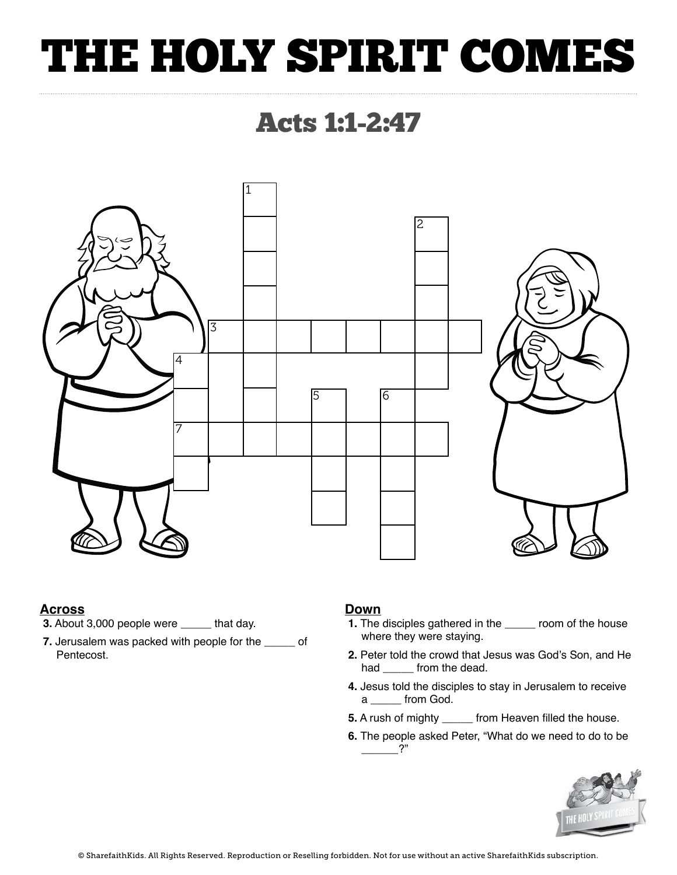## THE HOLY SPIRIT COMES

### Acts 1:1-2:47



### **Across**

- **3.** About 3,000 people were **\_\_\_\_\_** that day.
- **7.** Jerusalem was packed with people for the **\_\_\_\_\_** of Pentecost.

### **Down**

- **1.** The disciples gathered in the **\_\_\_\_\_** room of the house where they were staying.
- **2.** Peter told the crowd that Jesus was God's Son, and He had from the dead.
- **4.** Jesus told the disciples to stay in Jerusalem to receive a **\_\_\_\_\_** from God.
- **5.** A rush of mighty **\_\_\_\_\_** from Heaven filled the house.
- **6.** The people asked Peter, "What do we need to do to be  $\cdot$ ?"